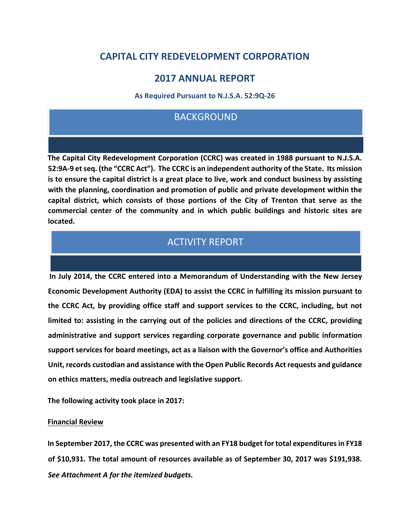# **CAPITAL CITY REDEVELOPMENT CORPORATION**

### **2017 ANNUAL REPORT**

**As Required Pursuant to N.J.S.A. 52:9Q-26** 

### BACKGROUND

**The Capital City Redevelopment Corporation (CCRC) was created in 1988 pursuant to N.J.S.A. 52:9A-9 et seq. (the "CCRC Act"). The CCRC is an independent authority of the State. Its mission is to ensure the capital district is a great place to live, work and conduct business by assisting with the planning, coordination and promotion of public and private development within the capital district, which consists of those portions of the City of Trenton that serve as the commercial center of the community and in which public buildings and historic sites are located.** 

# ACTIVITY REPORT

**In July 2014, the CCRC entered into a Memorandum of Understanding with the New Jersey Economic Development Authority (EDA) to assist the CCRC in fulfilling its mission pursuant to the CCRC Act, by providing office staff and support services to the CCRC, including, but not limited to: assisting in the carrying out of the policies and directions of the CCRC, providing administrative and support services regarding corporate governance and public information support services for board meetings, act as a liaison with the Governor's office and Authorities Unit, records custodian and assistance with the Open Public Records Act requests and guidance on ethics matters, media outreach and legislative support.** 

**The following activity took place in 2017:** 

### **Financial Review**

**In September 2017, the CCRC was presented with an FY18 budget for total expenditures in FY18 of \$10,931. The total amount of resources available as of September 30, 2017 was \$191,938.**  *See Attachment A for the itemized budgets.*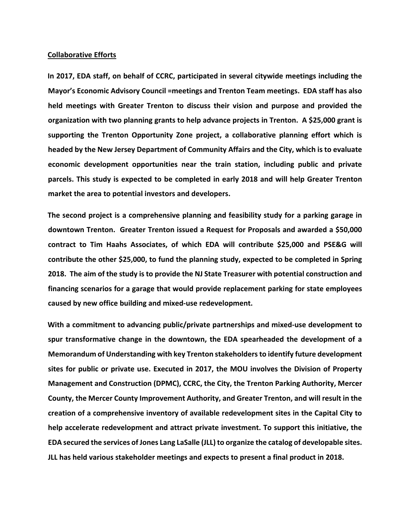#### **Collaborative Efforts**

**In 2017, EDA staff, on behalf of CCRC, participated in several citywide meetings including the Mayor's Economic Advisory Council =meetings and Trenton Team meetings. EDA staff has also held meetings with Greater Trenton to discuss their vision and purpose and provided the organization with two planning grants to help advance projects in Trenton. A \$25,000 grant is supporting the Trenton Opportunity Zone project, a collaborative planning effort which is headed by the New Jersey Department of Community Affairs and the City, which is to evaluate economic development opportunities near the train station, including public and private parcels. This study is expected to be completed in early 2018 and will help Greater Trenton market the area to potential investors and developers.** 

**The second project is a comprehensive planning and feasibility study for a parking garage in downtown Trenton. Greater Trenton issued a Request for Proposals and awarded a \$50,000 contract to Tim Haahs Associates, of which EDA will contribute \$25,000 and PSE&G will contribute the other \$25,000, to fund the planning study, expected to be completed in Spring 2018. The aim of the study is to provide the NJ State Treasurer with potential construction and financing scenarios for a garage that would provide replacement parking for state employees caused by new office building and mixed-use redevelopment.** 

**With a commitment to advancing public/private partnerships and mixed-use development to spur transformative change in the downtown, the EDA spearheaded the development of a Memorandum of Understanding with key Trenton stakeholders to identify future development sites for public or private use. Executed in 2017, the MOU involves the Division of Property Management and Construction (DPMC), CCRC, the City, the Trenton Parking Authority, Mercer County, the Mercer County Improvement Authority, and Greater Trenton, and will result in the creation of a comprehensive inventory of available redevelopment sites in the Capital City to help accelerate redevelopment and attract private investment. To support this initiative, the EDA secured the services of Jones Lang LaSalle (JLL) to organize the catalog of developable sites. JLL has held various stakeholder meetings and expects to present a final product in 2018.**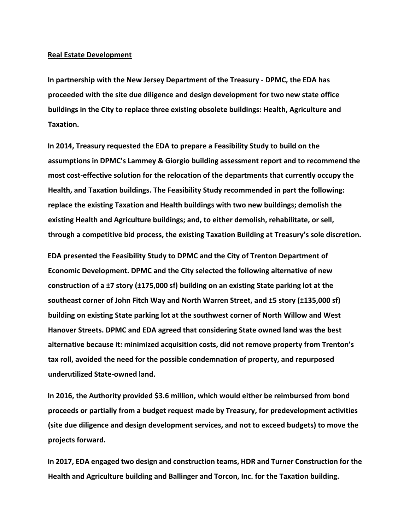#### **Real Estate Development**

**In partnership with the New Jersey Department of the Treasury - DPMC, the EDA has proceeded with the site due diligence and design development for two new state office buildings in the City to replace three existing obsolete buildings: Health, Agriculture and Taxation.** 

**In 2014, Treasury requested the EDA to prepare a Feasibility Study to build on the assumptions in DPMC's Lammey & Giorgio building assessment report and to recommend the most cost-effective solution for the relocation of the departments that currently occupy the Health, and Taxation buildings. The Feasibility Study recommended in part the following: replace the existing Taxation and Health buildings with two new buildings; demolish the existing Health and Agriculture buildings; and, to either demolish, rehabilitate, or sell, through a competitive bid process, the existing Taxation Building at Treasury's sole discretion.** 

**EDA presented the Feasibility Study to DPMC and the City of Trenton Department of Economic Development. DPMC and the City selected the following alternative of new construction of a ±7 story (±175,000 sf) building on an existing State parking lot at the southeast corner of John Fitch Way and North Warren Street, and ±5 story (±135,000 sf) building on existing State parking lot at the southwest corner of North Willow and West Hanover Streets. DPMC and EDA agreed that considering State owned land was the best alternative because it: minimized acquisition costs, did not remove property from Trenton's tax roll, avoided the need for the possible condemnation of property, and repurposed underutilized State-owned land.** 

**In 2016, the Authority provided \$3.6 million, which would either be reimbursed from bond proceeds or partially from a budget request made by Treasury, for predevelopment activities (site due diligence and design development services, and not to exceed budgets) to move the projects forward.** 

**In 2017, EDA engaged two design and construction teams, HDR and Turner Construction for the Health and Agriculture building and Ballinger and Torcon, Inc. for the Taxation building.**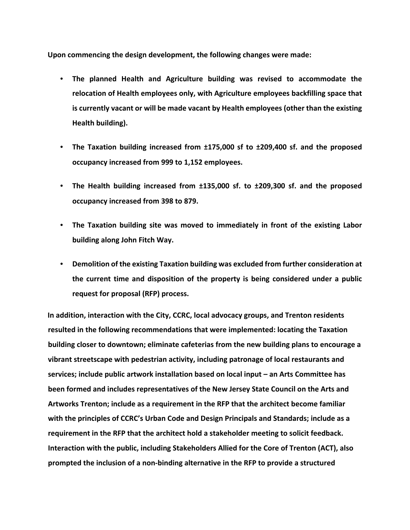**Upon commencing the design development, the following changes were made:** 

- **The planned Health and Agriculture building was revised to accommodate the relocation of Health employees only, with Agriculture employees backfilling space that is currently vacant or will be made vacant by Health employees (other than the existing Health building).**
- **The Taxation building increased from ±175,000 sf to ±209,400 sf. and the proposed occupancy increased from 999 to 1,152 employees.**
- **The Health building increased from ±135,000 sf. to ±209,300 sf. and the proposed occupancy increased from 398 to 879.**
- **The Taxation building site was moved to immediately in front of the existing Labor building along John Fitch Way.**
- **Demolition of the existing Taxation building was excluded from further consideration at the current time and disposition of the property is being considered under a public request for proposal (RFP) process.**

**In addition, interaction with the City, CCRC, local advocacy groups, and Trenton residents resulted in the following recommendations that were implemented: locating the Taxation building closer to downtown; eliminate cafeterias from the new building plans to encourage a vibrant streetscape with pedestrian activity, including patronage of local restaurants and services; include public artwork installation based on local input – an Arts Committee has been formed and includes representatives of the New Jersey State Council on the Arts and Artworks Trenton; include as a requirement in the RFP that the architect become familiar with the principles of CCRC's Urban Code and Design Principals and Standards; include as a requirement in the RFP that the architect hold a stakeholder meeting to solicit feedback. Interaction with the public, including Stakeholders Allied for the Core of Trenton (ACT), also prompted the inclusion of a non-binding alternative in the RFP to provide a structured**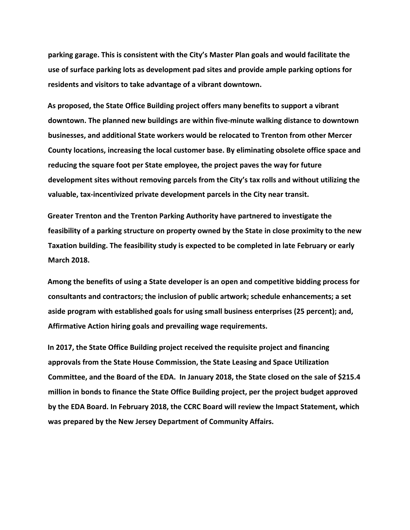**parking garage. This is consistent with the City's Master Plan goals and would facilitate the use of surface parking lots as development pad sites and provide ample parking options for residents and visitors to take advantage of a vibrant downtown.** 

**As proposed, the State Office Building project offers many benefits to support a vibrant downtown. The planned new buildings are within five-minute walking distance to downtown businesses, and additional State workers would be relocated to Trenton from other Mercer County locations, increasing the local customer base. By eliminating obsolete office space and reducing the square foot per State employee, the project paves the way for future development sites without removing parcels from the City's tax rolls and without utilizing the valuable, tax-incentivized private development parcels in the City near transit.** 

**Greater Trenton and the Trenton Parking Authority have partnered to investigate the feasibility of a parking structure on property owned by the State in close proximity to the new Taxation building. The feasibility study is expected to be completed in late February or early March 2018.** 

**Among the benefits of using a State developer is an open and competitive bidding process for consultants and contractors; the inclusion of public artwork; schedule enhancements; a set aside program with established goals for using small business enterprises (25 percent); and, Affirmative Action hiring goals and prevailing wage requirements.** 

**In 2017, the State Office Building project received the requisite project and financing approvals from the State House Commission, the State Leasing and Space Utilization Committee, and the Board of the EDA. In January 2018, the State closed on the sale of \$215.4 million in bonds to finance the State Office Building project, per the project budget approved by the EDA Board. In February 2018, the CCRC Board will review the Impact Statement, which was prepared by the New Jersey Department of Community Affairs.**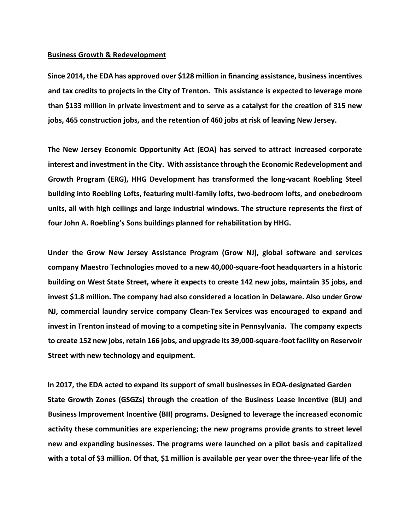#### **Business Growth & Redevelopment**

**Since 2014, the EDA has approved over \$128 million in financing assistance, business incentives and tax credits to projects in the City of Trenton. This assistance is expected to leverage more than \$133 million in private investment and to serve as a catalyst for the creation of 315 new jobs, 465 construction jobs, and the retention of 460 jobs at risk of leaving New Jersey.** 

**The New Jersey Economic Opportunity Act (EOA) has served to attract increased corporate interest and investment in the City. With assistance through the Economic Redevelopment and Growth Program (ERG), HHG Development has transformed the long-vacant Roebling Steel building into Roebling Lofts, featuring multi-family lofts, two-bedroom lofts, and onebedroom units, all with high ceilings and large industrial windows. The structure represents the first of four John A. Roebling's Sons buildings planned for rehabilitation by HHG.** 

**Under the Grow New Jersey Assistance Program (Grow NJ), global software and services company Maestro Technologies moved to a new 40,000-square-foot headquarters in a historic building on West State Street, where it expects to create 142 new jobs, maintain 35 jobs, and invest \$1.8 million. The company had also considered a location in Delaware. Also under Grow NJ, commercial laundry service company Clean-Tex Services was encouraged to expand and invest in Trenton instead of moving to a competing site in Pennsylvania. The company expects to create 152 new jobs, retain 166 jobs, and upgrade its 39,000-square-foot facility on Reservoir Street with new technology and equipment.** 

**In 2017, the EDA acted to expand its support of small businesses in EOA-designated Garden State Growth Zones (GSGZs) through the creation of the Business Lease Incentive (BLI) and Business Improvement Incentive (BII) programs. Designed to leverage the increased economic activity these communities are experiencing; the new programs provide grants to street level new and expanding businesses. The programs were launched on a pilot basis and capitalized with a total of \$3 million. Of that, \$1 million is available per year over the three-year life of the**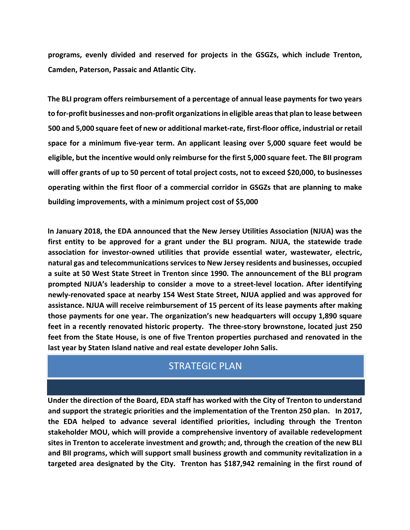**programs, evenly divided and reserved for projects in the GSGZs, which include Trenton, Camden, Paterson, Passaic and Atlantic City.** 

**The BLI program offers reimbursement of a percentage of annual lease payments for two years to for-profit businesses and non-profit organizations in eligible areas that plan to lease between 500 and 5,000 square feet of new or additional market-rate, first-floor office, industrial or retail space for a minimum five-year term. An applicant leasing over 5,000 square feet would be eligible, but the incentive would only reimburse for the first 5,000 square feet. The BII program will offer grants of up to 50 percent of total project costs, not to exceed \$20,000, to businesses operating within the first floor of a commercial corridor in GSGZs that are planning to make building improvements, with a minimum project cost of \$5,000** 

**In January 2018, the EDA announced that the New Jersey Utilities Association (NJUA) was the first entity to be approved for a grant under the BLI program. NJUA, the statewide trade association for investor-owned utilities that provide essential water, wastewater, electric, natural gas and telecommunications services to New Jersey residents and businesses, occupied a suite at 50 West State Street in Trenton since 1990. The announcement of the BLI program prompted NJUA's leadership to consider a move to a street-level location. After identifying newly-renovated space at nearby 154 West State Street, NJUA applied and was approved for assistance. NJUA will receive reimbursement of 15 percent of its lease payments after making those payments for one year. The organization's new headquarters will occupy 1,890 square feet in a recently renovated historic property. The three-story brownstone, located just 250 feet from the State House, is one of five Trenton properties purchased and renovated in the last year by Staten Island native and real estate developer John Salis.** 

## STRATEGIC PLAN

**Under the direction of the Board, EDA staff has worked with the City of Trenton to understand and support the strategic priorities and the implementation of the Trenton 250 plan. In 2017, the EDA helped to advance several identified priorities, including through the Trenton stakeholder MOU, which will provide a comprehensive inventory of available redevelopment sites in Trenton to accelerate investment and growth; and, through the creation of the new BLI and BII programs, which will support small business growth and community revitalization in a targeted area designated by the City. Trenton has \$187,942 remaining in the first round of**